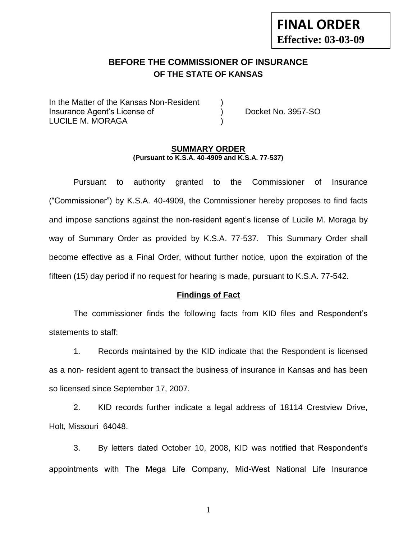# **FINAL ORDER Effective: 03-03-09**

# **BEFORE THE COMMISSIONER OF INSURANCE OF THE STATE OF KANSAS**

In the Matter of the Kansas Non-Resident Insurance Agent's License of ) Docket No. 3957-SO LUCILE M. MORAGA (1999)

#### **SUMMARY ORDER (Pursuant to K.S.A. 40-4909 and K.S.A. 77-537)**

Pursuant to authority granted to the Commissioner of Insurance ("Commissioner") by K.S.A. 40-4909, the Commissioner hereby proposes to find facts and impose sanctions against the non-resident agent's license of Lucile M. Moraga by way of Summary Order as provided by K.S.A. 77-537. This Summary Order shall become effective as a Final Order, without further notice, upon the expiration of the fifteen (15) day period if no request for hearing is made, pursuant to K.S.A. 77-542.

#### **Findings of Fact**

The commissioner finds the following facts from KID files and Respondent's statements to staff:

1. Records maintained by the KID indicate that the Respondent is licensed as a non- resident agent to transact the business of insurance in Kansas and has been so licensed since September 17, 2007.

2. KID records further indicate a legal address of 18114 Crestview Drive, Holt, Missouri 64048.

3. By letters dated October 10, 2008, KID was notified that Respondent's appointments with The Mega Life Company, Mid-West National Life Insurance

1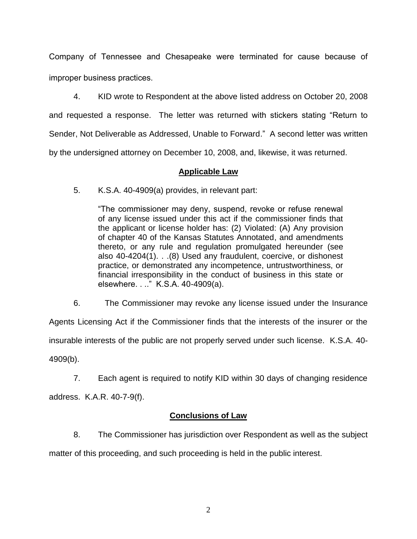Company of Tennessee and Chesapeake were terminated for cause because of improper business practices.

4. KID wrote to Respondent at the above listed address on October 20, 2008 and requested a response. The letter was returned with stickers stating "Return to Sender, Not Deliverable as Addressed, Unable to Forward." A second letter was written by the undersigned attorney on December 10, 2008, and, likewise, it was returned.

#### **Applicable Law**

5. K.S.A. 40-4909(a) provides, in relevant part:

"The commissioner may deny, suspend, revoke or refuse renewal of any license issued under this act if the commissioner finds that the applicant or license holder has: (2) Violated: (A) Any provision of chapter 40 of the Kansas Statutes Annotated, and amendments thereto, or any rule and regulation promulgated hereunder (see also 40-4204(1). . .(8) Used any fraudulent, coercive, or dishonest practice, or demonstrated any incompetence, untrustworthiness, or financial irresponsibility in the conduct of business in this state or elsewhere. . .." K.S.A. 40-4909(a).

6. The Commissioner may revoke any license issued under the Insurance

Agents Licensing Act if the Commissioner finds that the interests of the insurer or the insurable interests of the public are not properly served under such license. K.S.A. 40- 4909(b).

7. Each agent is required to notify KID within 30 days of changing residence

address. K.A.R. 40-7-9(f).

### **Conclusions of Law**

8. The Commissioner has jurisdiction over Respondent as well as the subject

matter of this proceeding, and such proceeding is held in the public interest.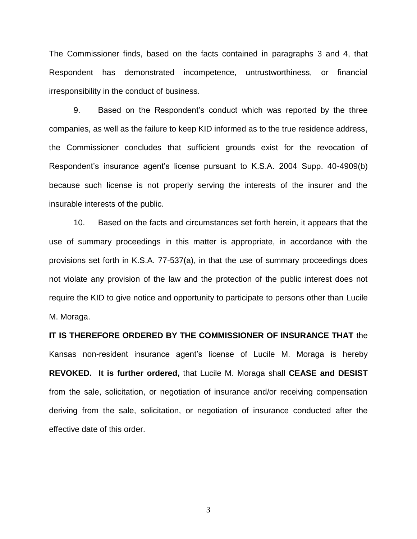The Commissioner finds, based on the facts contained in paragraphs 3 and 4, that Respondent has demonstrated incompetence, untrustworthiness, or financial irresponsibility in the conduct of business.

9. Based on the Respondent's conduct which was reported by the three companies, as well as the failure to keep KID informed as to the true residence address, the Commissioner concludes that sufficient grounds exist for the revocation of Respondent's insurance agent's license pursuant to K.S.A. 2004 Supp. 40-4909(b) because such license is not properly serving the interests of the insurer and the insurable interests of the public.

10. Based on the facts and circumstances set forth herein, it appears that the use of summary proceedings in this matter is appropriate, in accordance with the provisions set forth in K.S.A. 77-537(a), in that the use of summary proceedings does not violate any provision of the law and the protection of the public interest does not require the KID to give notice and opportunity to participate to persons other than Lucile M. Moraga.

**IT IS THEREFORE ORDERED BY THE COMMISSIONER OF INSURANCE THAT** the Kansas non-resident insurance agent's license of Lucile M. Moraga is hereby **REVOKED. It is further ordered,** that Lucile M. Moraga shall **CEASE and DESIST** from the sale, solicitation, or negotiation of insurance and/or receiving compensation deriving from the sale, solicitation, or negotiation of insurance conducted after the effective date of this order.

3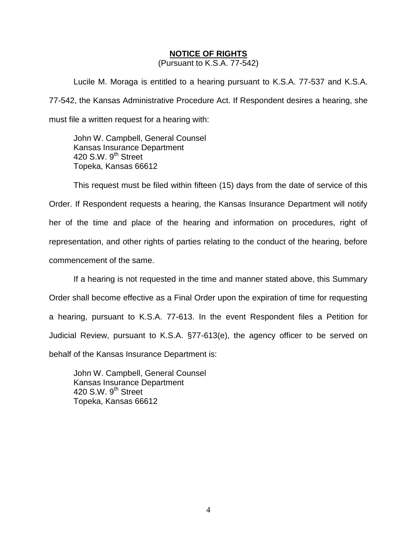#### **NOTICE OF RIGHTS**

(Pursuant to K.S.A. 77-542)

Lucile M. Moraga is entitled to a hearing pursuant to K.S.A. 77-537 and K.S.A. 77-542, the Kansas Administrative Procedure Act. If Respondent desires a hearing, she must file a written request for a hearing with:

John W. Campbell, General Counsel Kansas Insurance Department 420 S.W.  $9<sup>th</sup>$  Street Topeka, Kansas 66612

This request must be filed within fifteen (15) days from the date of service of this Order. If Respondent requests a hearing, the Kansas Insurance Department will notify her of the time and place of the hearing and information on procedures, right of representation, and other rights of parties relating to the conduct of the hearing, before commencement of the same.

If a hearing is not requested in the time and manner stated above, this Summary Order shall become effective as a Final Order upon the expiration of time for requesting a hearing, pursuant to K.S.A. 77-613. In the event Respondent files a Petition for Judicial Review, pursuant to K.S.A. §77-613(e), the agency officer to be served on behalf of the Kansas Insurance Department is:

John W. Campbell, General Counsel Kansas Insurance Department 420 S.W. 9<sup>th</sup> Street Topeka, Kansas 66612